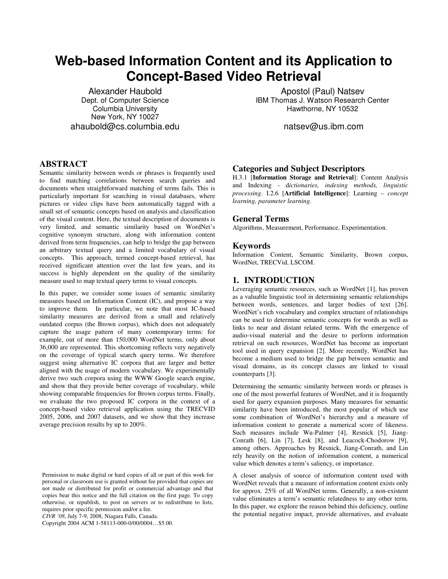# **Web-based Information Content and its Application to Concept-Based Video Retrieval**

Alexander Haubold Dept. of Computer Science Columbia University New York, NY 10027 ahaubold@cs.columbia.edu

**ABSTRACT**

Semantic similarity between words or phrases is frequently used to find matching correlations between search queries and documents when straightforward matching of terms fails. This is particularly important for searching in visual databases, where pictures or video clips have been automatically tagged with a small set of semantic concepts based on analysis and classification of the visual content. Here, the textual description of documents is very limited, and semantic similarity based on WordNet's cognitive synonym structure, along with information content derived from term frequencies, can help to bridge the gap between an arbitrary textual query and a limited vocabulary of visual concepts. This approach, termed concept-based retrieval, has received significant attention over the last few years, and its success is highly dependent on the quality of the similarity measure used to map textual query terms to visual concepts.

In this paper, we consider some issues of semantic similarity measures based on Information Content (IC), and propose a way to improve them. In particular, we note that most IC-based similarity measures are derived from a small and relatively outdated corpus (the Brown corpus), which does not adequately capture the usage pattern of many contemporary terms: for example, out of more than 150,000 WordNet terms, only about 36,000 are represented. This shortcoming reflects very negatively on the coverage of typical search query terms. We therefore suggest using alternative IC corpora that are larger and better aligned with the usage of modern vocabulary. We experimentally derive two such corpora using the WWW Google search engine, and show that they provide better coverage of vocabulary, while showing comparable frequencies for Brown corpus terms. Finally, we evaluate the two proposed IC corpora in the context of a concept-based video retrieval application using the TRECVID 2005, 2006, and 2007 datasets, and we show that they increase average precision results by up to 200%.

*CIVR '08*, July 7-9, 2008, Niagara Falls, Canada.

Copyright 2004 ACM 1-58113-000-0/00/0004…\$5.00.

Apostol (Paul) Natsev IBM Thomas J. Watson Research Center Hawthorne, NY 10532

natsev@us.ibm.com

## **Categories and Subject Descriptors**

H.3.1 [**Information Storage and Retrieval**]: Content Analysis and Indexing - d*ictionaries, indexing methods, linguistic processing*. I.2.6 [**Artificial Intelligence**]: Learning – *concept learning, parameter learning*.

#### **General Terms**

Algorithms, Measurement, Performance, Experimentation.

#### **Keywords**

Information Content, Semantic Similarity, Brown corpus, WordNet, TRECVid, LSCOM.

### **1. INTRODUCTION**

Leveraging semantic resources, such as WordNet [1], has proven as a valuable linguistic tool in determining semantic relationships between words, sentences, and larger bodies of text [26]. WordNet's rich vocabulary and complex structure of relationships can be used to determine semantic concepts for words as well as links to near and distant related terms. With the emergence of audio-visual material and the desire to perform information retrieval on such resources, WordNet has become an important tool used in query expansion [2]. More recently, WordNet has become a medium used to bridge the gap between semantic and visual domains, as its concept classes are linked to visual counterparts [3].

Determining the semantic similarity between words or phrases is one of the most powerful features of WordNet, and it is frequently used for query expansion purposes. Many measures for semantic similarity have been introduced, the most popular of which use some combination of WordNet's hierarchy and a measure of information content to generate a numerical score of likeness. Such measures include Wu-Palmer [4], Resnick [5], Jiang-Conrath [6], Lin [7], Lesk [8], and Leacock-Chodorow [9], among others. Approaches by Resnick, Jiang-Conrath, and Lin rely heavily on the notion of information content, a numerical value which denotes a term's saliency, or importance.

A closer analysis of source of information content used with WordNet reveals that a measure of information content exists only for approx. 25% of all WordNet terms. Generally, a non-existent value eliminates a term's semantic relatedness to any other term. In this paper, we explore the reason behind this deficiency, outline the potential negative impact, provide alternatives, and evaluate

Permission to make digital or hard copies of all or part of this work for personal or classroom use is granted without fee provided that copies are not made or distributed for profit or commercial advantage and that copies bear this notice and the full citation on the first page. To copy otherwise, or republish, to post on servers or to redistribute to lists, requires prior specific permission and/or a fee.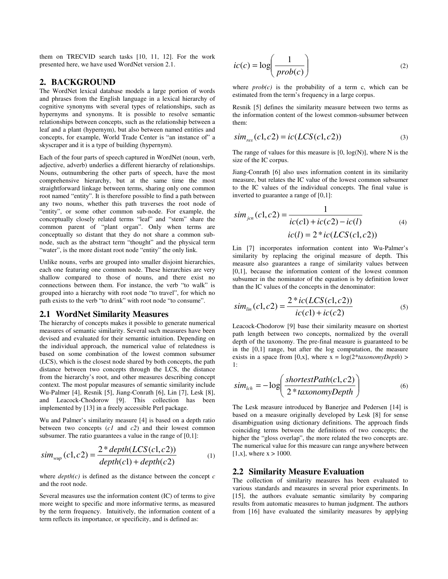them on TRECVID search tasks [10, 11, 12]. For the work presented here, we have used WordNet version 2.1.

# **2. BACKGROUND**

The WordNet lexical database models a large portion of words and phrases from the English language in a lexical hierarchy of cognitive synonyms with several types of relationships, such as hypernyms and synonyms. It is possible to resolve semantic relationships between concepts, such as the relationship between a leaf and a plant (hypernym), but also between named entities and concepts, for example, World Trade Center is "an instance of" a skyscraper and it is a type of building (hypernym).

Each of the four parts of speech captured in WordNet (noun, verb, adjective, adverb) underlies a different hierarchy of relationships. Nouns, outnumbering the other parts of speech, have the most comprehensive hierarchy, but at the same time the most straightforward linkage between terms, sharing only one common root named "entity". It is therefore possible to find a path between any two nouns, whether this path traverses the root node of "entity", or some other common sub-node. For example, the conceptually closely related terms "leaf" and "stem" share the common parent of "plant organ". Only when terms are conceptually so distant that they do not share a common subnode, such as the abstract term "thought" and the physical term "water", is the more distant root node "entity" the only link.

Unlike nouns, verbs are grouped into smaller disjoint hierarchies, each one featuring one common node. These hierarchies are very shallow compared to those of nouns, and there exist no connections between them. For instance, the verb "to walk" is grouped into a hierarchy with root node "to travel", for which no path exists to the verb "to drink" with root node "to consume".

### **2.1 WordNet Similarity Measures**

The hierarchy of concepts makes it possible to generate numerical measures of semantic similarity. Several such measures have been devised and evaluated for their semantic intuition. Depending on the individual approach, the numerical value of relatedness is based on some combination of the lowest common subsumer (LCS), which is the closest node shared by both concepts, the path distance between two concepts through the LCS, the distance from the hierarchy's root, and other measures describing concept context. The most popular measures of semantic similarity include Wu-Palmer [4], Resnik [5], Jiang-Conrath [6], Lin [7], Lesk [8], and Leacock-Chodorow [9]. This collection has been implemented by [13] in a freely accessible Perl package.

Wu and Palmer's similarity measure [4] is based on a depth ratio between two concepts (*c1* and *c2*) and their lowest common subsumer. The ratio guarantees a value in the range of [0,1]:

$$
sim_{\text{wup}}(c1, c2) = \frac{2 * depth(LCS(c1, c2))}{depth(c1) + depth(c2)}
$$
\n<sup>(1)</sup>

where *depth(c)* is defined as the distance between the concept *c* and the root node.

Several measures use the information content (IC) of terms to give more weight to specific and more informative terms, as measured by the term frequency. Intuitively, the information content of a term reflects its importance, or specificity, and is defined as:

$$
ic(c) = \log\left(\frac{1}{prob(c)}\right) \tag{2}
$$

where  $prob(c)$  is the probability of a term c, which can be estimated from the term's frequency in a large corpus.

Resnik [5] defines the similarity measure between two terms as the information content of the lowest common-subsumer between them:

$$
sim_{res}(c1, c2) = ic(LCS(c1, c2))
$$
\n<sup>(3)</sup>

The range of values for this measure is  $[0, \log(N)]$ , where N is the size of the IC corpus.

Jiang-Conrath [6] also uses information content in its similarity measure, but relates the IC value of the lowest common subsumer to the IC values of the individual concepts. The final value is inverted to guarantee a range of [0,1]:

$$
sim_{jcn}(c1, c2) = \frac{1}{ic(c1) + ic(c2) - ic(l)}
$$
\n
$$
ic(l) = 2 * ic(LCS(c1, c2))
$$
\n(4)

Lin [7] incorporates information content into Wu-Palmer's similarity by replacing the original measure of depth. This measure also guarantees a range of similarity values between [0,1], because the information content of the lowest common subsumer in the nominator of the equation is by definition lower than the IC values of the concepts in the denominator:

$$
sim_{lin}(c1, c2) = \frac{2 * ic(LCS(c1, c2))}{ic(c1) + ic(c2)}
$$
\n(5)

Leacock-Chodorow [9] base their similarity measure on shortest path length between two concepts, normalized by the overall depth of the taxonomy. The pre-final measure is guaranteed to be in the [0,1] range, but after the log computation, the measure exists in a space from [0,x], where  $x = log(2 * taxonomyDepth) >$ 1:

$$
sim_{lch} = -\log\left(\frac{shortestPath(c1, c2)}{2 * taxonomyDepth}\right)
$$
 (6)

The Lesk measure introduced by Banerjee and Pedersen [14] is based on a measure originally developed by Lesk [8] for sense disambiguation using dictionary definitions. The approach finds coinciding terms between the definitions of two concepts; the higher the "gloss overlap", the more related the two concepts are. The numerical value for this measure can range anywhere between  $[1, x]$ , where  $x > 1000$ .

#### **2.2 Similarity Measure Evaluation**

The collection of similarity measures has been evaluated to various standards and measures in several prior experiments. In [15], the authors evaluate semantic similarity by comparing results from automatic measures to human judgment. The authors from [16] have evaluated the similarity measures by applying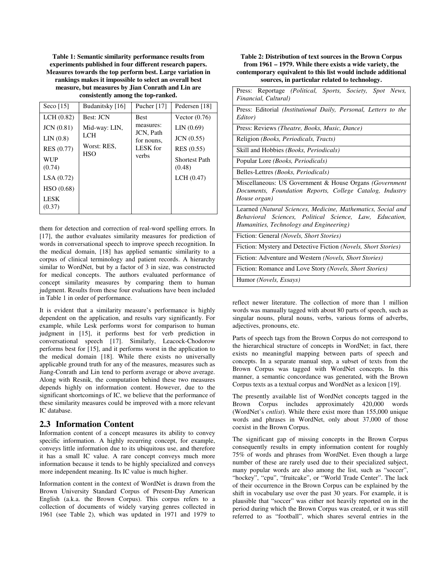**Table 1: Semantic similarity performance results from experiments published in four different research papers. Measures towards the top perform best. Large variation in rankings makes it impossible to select an overall best measure, but measures by Jian Conrath and Lin are consistently among the top-ranked.** 

| Seco $[15]$                                                                                                                   | Budanitsky [16]                                                              | Pucher [17]                                                              | Pedersen [18]                                                                                           |
|-------------------------------------------------------------------------------------------------------------------------------|------------------------------------------------------------------------------|--------------------------------------------------------------------------|---------------------------------------------------------------------------------------------------------|
| LCH(0.82)<br>JCN(0.81)<br>LIN(0.8)<br><b>RES</b> (0.77)<br>WUP<br>(0.74)<br>LSA (0.72)<br>HSO (0.68)<br><b>LESK</b><br>(0.37) | <b>Best: JCN</b><br>Mid-way: LIN,<br><b>LCH</b><br>Worst: RES.<br><b>HSO</b> | <b>Best</b><br>measures:<br>JCN, Path<br>for nouns,<br>LESK for<br>verbs | Vector $(0.76)$<br>LIN(0.69)<br>JCN(0.55)<br>RES (0.55)<br><b>Shortest Path</b><br>(0.48)<br>LCH (0.47) |

them for detection and correction of real-word spelling errors. In [17], the author evaluates similarity measures for prediction of words in conversational speech to improve speech recognition. In the medical domain, [18] has applied semantic similarity to a corpus of clinical terminology and patient records. A hierarchy similar to WordNet, but by a factor of 3 in size, was constructed for medical concepts. The authors evaluated performance of concept similarity measures by comparing them to human judgment. Results from these four evaluations have been included in Table 1 in order of performance.

It is evident that a similarity measure's performance is highly dependent on the application, and results vary significantly. For example, while Lesk performs worst for comparison to human judgment in [15], it performs best for verb prediction in conversational speech [17]. Similarly, Leacock-Chodorow performs best for [15], and it performs worst in the application to the medical domain [18]. While there exists no universally applicable ground truth for any of the measures, measures such as Jiang-Conrath and Lin tend to perform average or above average. Along with Resnik, the computation behind these two measures depends highly on information content. However, due to the significant shortcomings of IC, we believe that the performance of these similarity measures could be improved with a more relevant IC database.

# **2.3 Information Content**

Information content of a concept measures its ability to convey specific information. A highly recurring concept, for example, conveys little information due to its ubiquitous use, and therefore it has a small IC value. A rare concept conveys much more information because it tends to be highly specialized and conveys more independent meaning. Its IC value is much higher.

Information content in the context of WordNet is drawn from the Brown University Standard Corpus of Present-Day American English (a.k.a. the Brown Corpus). This corpus refers to a collection of documents of widely varying genres collected in 1961 (see Table 2), which was updated in 1971 and 1979 to

#### **Table 2: Distribution of text sources in the Brown Corpus from 1961 – 1979. While there exists a wide variety, the contemporary equivalent to this list would include additional sources, in particular related to technology.**

| Press: Reportage (Political, Sports, Society, Spot News,         |
|------------------------------------------------------------------|
| Financial, Cultural)                                             |
| Press: Editorial (Institutional Daily, Personal, Letters to the  |
| Editor)                                                          |
|                                                                  |
| Press: Reviews (Theatre, Books, Music, Dance)                    |
| Religion ( <i>Books, Periodicals, Tracts</i> )                   |
| Skill and Hobbies (Books, Periodicals)                           |
| Popular Lore ( <i>Books, Periodicals</i> )                       |
| Belles-Lettres ( <i>Books, Periodicals</i> )                     |
| Miscellaneous: US Government & House Organs (Government          |
| Documents, Foundation Reports, College Catalog, Industry         |
|                                                                  |
| House organ)                                                     |
| Learned (Natural Sciences, Medicine, Mathematics, Social and     |
| Behavioral Sciences, Political Science, Law, Education,          |
|                                                                  |
| Humanities, Technology and Engineering)                          |
| Fiction: General (Novels, Short Stories)                         |
| Fiction: Mystery and Detective Fiction (Novels, Short Stories)   |
| Fiction: Adventure and Western (Novels, Short Stories)           |
| Fiction: Romance and Love Story ( <i>Novels, Short Stories</i> ) |
| Humor ( <i>Novels, Essays</i> )                                  |

reflect newer literature. The collection of more than 1 million words was manually tagged with about 80 parts of speech, such as singular nouns, plural nouns, verbs, various forms of adverbs, adjectives, pronouns, etc.

Parts of speech tags from the Brown Corpus do not correspond to the hierarchical structure of concepts in WordNet; in fact, there exists no meaningful mapping between parts of speech and concepts. In a separate manual step, a subset of texts from the Brown Corpus was tagged with WordNet concepts. In this manner, a semantic concordance was generated, with the Brown Corpus texts as a textual corpus and WordNet as a lexicon [19].

The presently available list of WordNet concepts tagged in the Brown Corpus includes approximately 420,000 words (WordNet's *cntlist*). While there exist more than 155,000 unique words and phrases in WordNet, only about 37,000 of those coexist in the Brown Corpus.

The significant gap of missing concepts in the Brown Corpus consequently results in empty information content for roughly 75% of words and phrases from WordNet. Even though a large number of these are rarely used due to their specialized subject, many popular words are also among the list, such as "soccer", "hockey", "cpu", "fruitcake", or "World Trade Center". The lack of their occurrence in the Brown Corpus can be explained by the shift in vocabulary use over the past 30 years. For example, it is plausible that "soccer" was either not heavily reported on in the period during which the Brown Corpus was created, or it was still referred to as "football", which shares several entries in the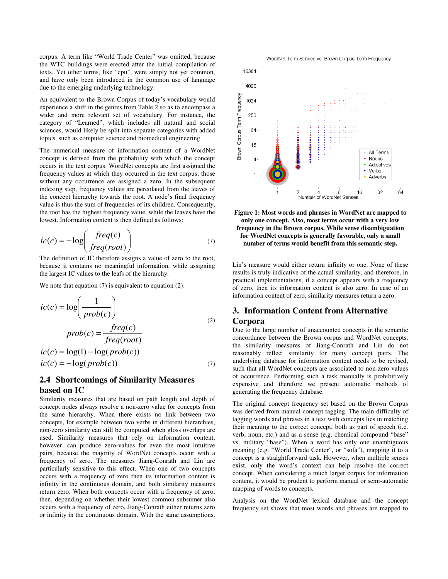corpus. A term like "World Trade Center" was omitted, because the WTC buildings were erected after the initial compilation of texts. Yet other terms, like "cpu", were simply not yet common, and have only been introduced in the common use of language due to the emerging underlying technology.

An equivalent to the Brown Corpus of today's vocabulary would experience a shift in the genres from Table 2 so as to encompass a wider and more relevant set of vocabulary. For instance, the category of "Learned", which includes all natural and social sciences, would likely be split into separate categories with added topics, such as computer science and biomedical engineering.

The numerical measure of information content of a WordNet concept is derived from the probability with which the concept occurs in the text corpus. WordNet concepts are first assigned the frequency values at which they occurred in the text corpus; those without any occurrence are assigned a zero. In the subsequent indexing step, frequency values are percolated from the leaves of the concept hierarchy towards the root. A node's final frequency value is thus the sum of frequencies of its children. Consequently, the root has the highest frequency value, while the leaves have the lowest. Information content is then defined as follows:

$$
ic(c) = -\log\left(\frac{freq(c)}{freq(root)}\right) \tag{7}
$$

The definition of IC therefore assigns a value of zero to the root, because it contains no meaningful information, while assigning the largest IC values to the leafs of the hierarchy.

We note that equation (7) is equivalent to equation (2):

$$
ic(c) = \log\left(\frac{1}{prob(c)}\right)
$$
  
\n
$$
prob(c) = \frac{freq(c)}{freq(root)}
$$
  
\n
$$
ic(c) = \log(1) - \log(prob(c))
$$
  
\n
$$
ic(c) = -\log(prob(c))
$$
 (7)

# **2.4 Shortcomings of Similarity Measures based on IC**

Similarity measures that are based on path length and depth of concept nodes always resolve a non-zero value for concepts from the same hierarchy. When there exists no link between two concepts, for example between two verbs in different hierarchies, non-zero similarity can still be computed when gloss overlaps are used. Similarity measures that rely on information content, however, can produce zero-values for even the most intuitive pairs, because the majority of WordNet concepts occur with a frequency of zero. The measures Jiang-Conrath and Lin are particularly sensitive to this effect. When one of two concepts occurs with a frequency of zero then its information content is infinity in the continuous domain, and both similarity measures return zero. When both concepts occur with a frequency of zero, then, depending on whether their lowest common subsumer also occurs with a frequency of zero, Jiang-Conrath either returns zero or infinity in the continuous domain. With the same assumptions,

WordNet Term Senses vs. Brown Corpus Term Frequency



**Figure 1: Most words and phrases in WordNet are mapped to only one concept. Also, most terms occur with a very low frequency in the Brown corpus. While sense disambiguation for WordNet concepts is generally favorable, only a small number of terms would benefit from this semantic step.** 

Lin's measure would either return infinity or one. None of these results is truly indicative of the actual similarity, and therefore, in practical implementations, if a concept appears with a frequency of zero, then its information content is also zero. In case of an information content of zero, similarity measures return a zero.

# **3. Information Content from Alternative**

# **Corpora**

Due to the large number of unaccounted concepts in the semantic concordance between the Brown corpus and WordNet concepts, the similarity measures of Jiang-Conrath and Lin do not reasonably reflect similarity for many concept pairs. The underlying database for information content needs to be revised, such that all WordNet concepts are associated to non-zero values of occurrence. Performing such a task manually is prohibitively expensive and therefore we present automatic methods of generating the frequency database.

The original concept frequency set based on the Brown Corpus was derived from manual concept tagging. The main difficulty of tagging words and phrases in a text with concepts lies in matching their meaning to the correct concept, both as part of speech (i.e. verb, noun, etc.) and as a sense (e.g. chemical compound "base" vs. military "base"). When a word has only one unambiguous meaning (e.g. "World Trade Center", or "sofa"), mapping it to a concept is a straightforward task. However, when multiple senses exist, only the word's context can help resolve the correct concept. When considering a much larger corpus for information content, it would be prudent to perform manual or semi-automatic mapping of words to concepts.

Analysis on the WordNet lexical database and the concept frequency set shows that most words and phrases are mapped to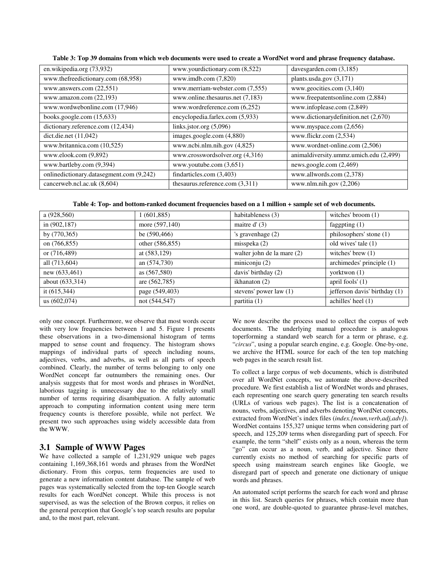| en.wikipedia.org (73,932)                | www.yourdictionary.com (8,522)    | davesgarden.com $(3,185)$               |
|------------------------------------------|-----------------------------------|-----------------------------------------|
| www.thefreedictionary.com (68,958)       | www.imdb.com $(7,820)$            | plants.usda.gov $(3,171)$               |
| www.answers.com $(22,551)$               | www.merriam-webster.com (7,555)   | www.geocities.com $(3,140)$             |
| www.amazon.com $(22,193)$                | www.online.thesaurus.net (7,183)  | www.freepatentsonline.com (2,884)       |
| www.wordwebonline.com (17,946)           | www.wordreference.com (6,252)     | www.infoplease.com (2,849)              |
| books.google.com $(15,633)$              | encyclopedia.farlex.com (5,933)   | www.dictionarydefinition.net (2,670)    |
| dictionary.reference.com (12,434)        | links.jstor.org $(5,096)$         | www.myspace.com $(2,656)$               |
| dict.die.net $(11,042)$                  | images.google.com $(4,880)$       | www.flickr.com (2,534)                  |
| www.britannica.com (10,525)              | www.ncbi.nlm.nih.gov (4,825)      | www.wordnet-online.com (2,506)          |
| www.elook.com (9,892)                    | www.crosswordsolver.org (4,316)   | animal diversity.ummz.umich.edu (2,499) |
| www.bartleby.com (9,394)                 | www.youtube.com $(3,651)$         | news.google.com $(2,469)$               |
| onlinedictionary.datasegment.com (9,242) | findarticles.com (3,403)          | www.allwords.com (2,378)                |
| cancerweb.ncl.ac.uk (8,604)              | thesaurus.reference.com $(3,311)$ | www.nlm.nih.gov $(2,206)$               |

**Table 3: Top 39 domains from which web documents were used to create a WordNet word and phrase frequency database.** 

**Table 4: Top- and bottom-ranked document frequencies based on a 1 million + sample set of web documents.** 

| a(928,560)      | 1(601,885)      | habitableness (3)          | witches' broom $(1)$          |
|-----------------|-----------------|----------------------------|-------------------------------|
| in $(902, 187)$ | more (597,140)  | maitre d' $(3)$            | faggpting $(1)$               |
| by $(770, 365)$ | be $(590, 466)$ | 's gravenhage $(2)$        | philosophers' stone (1)       |
| on $(766, 855)$ | other (586,855) | misspeka $(2)$             | old wives' tale (1)           |
| or $(716, 489)$ | at $(583, 129)$ | walter john de la mare (2) | witches' brew $(1)$           |
| all (713,604)   | an $(574, 730)$ | miniconju(2)               | archimedes' principle (1)     |
| new (633,461)   | as $(567,580)$  | davis' birthday (2)        | yorktwon (1)                  |
| about (633,314) | are $(562,785)$ | ikhanaton (2)              | april fools' $(1)$            |
| it $(615, 344)$ | page (549,403)  | stevens' power law $(1)$   | jefferson davis' birthday (1) |
| us $(602,074)$  | not (544,547)   | partitia (1)               | achilles' heel (1)            |

only one concept. Furthermore, we observe that most words occur with very low frequencies between 1 and 5. Figure 1 presents these observations in a two-dimensional histogram of terms mapped to sense count and frequency. The histogram shows mappings of individual parts of speech including nouns, adjectives, verbs, and adverbs, as well as all parts of speech combined. Clearly, the number of terms belonging to only one WordNet concept far outnumbers the remaining ones. Our analysis suggests that for most words and phrases in WordNet, laborious tagging is unnecessary due to the relatively small number of terms requiring disambiguation. A fully automatic approach to computing information content using mere term frequency counts is therefore possible, while not perfect. We present two such approaches using widely accessible data from the WWW.

# **3.1 Sample of WWW Pages**

We have collected a sample of 1,231,929 unique web pages containing 1,169,368,161 words and phrases from the WordNet dictionary. From this corpus, term frequencies are used to generate a new information content database. The sample of web pages was systematically selected from the top-ten Google search results for each WordNet concept. While this process is not supervised, as was the selection of the Brown corpus, it relies on the general perception that Google's top search results are popular and, to the most part, relevant.

We now describe the process used to collect the corpus of web documents. The underlying manual procedure is analogous toperforming a standard web search for a term or phrase, e.g. "*circus*", using a popular search engine, e.g. Google. One-by-one, we archive the HTML source for each of the ten top matching web pages in the search result list.

To collect a large corpus of web documents, which is distributed over all WordNet concepts, we automate the above-described procedure. We first establish a list of WordNet words and phrases, each representing one search query generating ten search results (URLs of various web pages). The list is a concatenation of nouns, verbs, adjectives, and adverbs denoting WordNet concepts, extracted from WordNet's index files (*index.{noun,verb,adj,adv}*). WordNet contains 155,327 unique terms when considering part of speech, and 125,209 terms when disregarding part of speech. For example, the term "shelf" exists only as a noun, whereas the term "go" can occur as a noun, verb, and adjective. Since there currently exists no method of searching for specific parts of speech using mainstream search engines like Google, we disregard part of speech and generate one dictionary of unique words and phrases.

An automated script performs the search for each word and phrase in this list. Search queries for phrases, which contain more than one word, are double-quoted to guarantee phrase-level matches,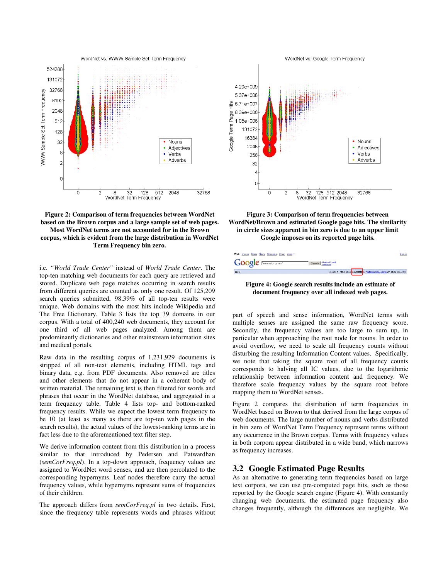

**Figure 2: Comparison of term frequencies between WordNet based on the Brown corpus and a large sample set of web pages. Most WordNet terms are not accounted for in the Brown corpus, which is evident from the large distribution in WordNet Term Frequency bin zero.** 

i.e. *"World Trade Center"* instead of *World Trade Center*. The top-ten matching web documents for each query are retrieved and stored. Duplicate web page matches occurring in search results from different queries are counted as only one result. Of 125,209 search queries submitted, 98.39% of all top-ten results were unique. Web domains with the most hits include Wikipedia and The Free Dictionary. Table 3 lists the top 39 domains in our corpus. With a total of 400,240 web documents, they account for one third of all web pages analyzed. Among them are predominantly dictionaries and other mainstream information sites and medical portals.

Raw data in the resulting corpus of 1,231,929 documents is stripped of all non-text elements, including HTML tags and binary data, e.g. from PDF documents. Also removed are titles and other elements that do not appear in a coherent body of written material. The remaining text is then filtered for words and phrases that occur in the WordNet database, and aggregated in a term frequency table. Table 4 lists top- and bottom-ranked frequency results. While we expect the lowest term frequency to be 10 (at least as many as there are top-ten web pages in the search results), the actual values of the lowest-ranking terms are in fact less due to the aforementioned text filter step.

We derive information content from this distribution in a process similar to that introduced by Pedersen and Patwardhan (*semCorFreq.pl*). In a top-down approach, frequency values are assigned to WordNet word senses, and are then percolated to the corresponding hypernyms. Leaf nodes therefore carry the actual frequency values, while hypernyms represent sums of frequencies of their children.

The approach differs from *semCorFreq.pl* in two details. First, since the frequency table represents words and phrases without



**Figure 3: Comparison of term frequencies between WordNet/Brown and estimated Google page hits. The similarity in circle sizes apparent in bin zero is due to an upper limit Google imposes on its reported page hits.** 

| Images Maps News Shopping Gmail more<br>Web                                              | Sign in |
|------------------------------------------------------------------------------------------|---------|
| $Google =$<br><b>Advanced Search</b><br>"information content"<br>Search  <br>Preferences |         |
| Results 1 - 10 of about 3,670,000 for "information content". (0.16 seconds)<br>Web       |         |

**Figure 4: Google search results include an estimate of document frequency over all indexed web pages.** 

part of speech and sense information, WordNet terms with multiple senses are assigned the same raw frequency score. Secondly, the frequency values are too large to sum up, in particular when approaching the root node for nouns. In order to avoid overflow, we need to scale all frequency counts without disturbing the resulting Information Content values. Specifically, we note that taking the square root of all frequency counts corresponds to halving all IC values, due to the logarithmic relationship between information content and frequency. We therefore scale frequency values by the square root before mapping them to WordNet senses.

Figure 2 compares the distribution of term frequencies in WordNet based on Brown to that derived from the large corpus of web documents. The large number of nouns and verbs distributed in bin zero of WordNet Term Frequency represent terms without any occurrence in the Brown corpus. Terms with frequency values in both corpora appear distributed in a wide band, which narrows as frequency increases.

### **3.2 Google Estimated Page Results**

As an alternative to generating term frequencies based on large text corpora, we can use pre-computed page hits, such as those reported by the Google search engine (Figure 4). With constantly changing web documents, the estimated page frequency also changes frequently, although the differences are negligible. We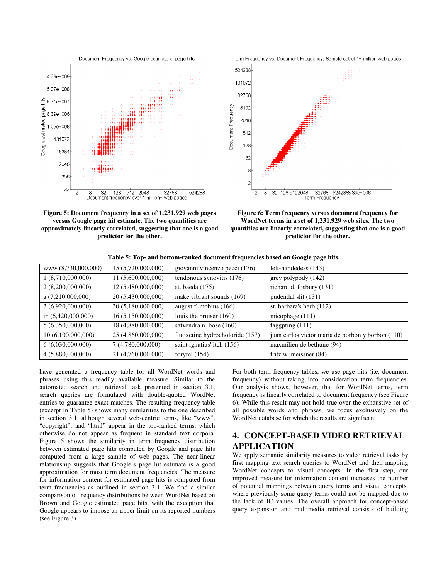

**Figure 5: Document frequency in a set of 1,231,929 web pages versus Google page hit estimate. The two quantities are approximately linearly correlated, suggesting that one is a good predictor for the other.** 



**Figure 6: Term frequency versus document frequency for WordNet terms in a set of 1,231,929 web sites. The two quantities are linearly correlated, suggesting that one is a good predictor for the other.** 

| www (8,730,000,000)  | 15 (5,720,000,000) | giovanni vincenzo pecci (176)   | left-handedess (143)                              |
|----------------------|--------------------|---------------------------------|---------------------------------------------------|
| 1(8,710,000,000)     | 11 (5,600,000,000) | tendonous synovitis $(176)$     | grey polypody (142)                               |
| 2(8,200,000,000)     | 12 (5,480,000,000) | st. baeda (175)                 | richard d. fosbury (131)                          |
| a(7,210,000,000)     | 20 (5,430,000,000) | make vibrant sounds (169)       | pudendal slit (131)                               |
| 3(6,920,000,000)     | 30 (5,180,000,000) | august f. mobius (166)          | st. barbara's herb (112)                          |
| in $(6,420,000,000)$ | 16(5,150,000,000)  | louis the bruiser $(160)$       | micophage $(111)$                                 |
| 5(6,350,000,000)     | 18 (4,880,000,000) | satyendra n. bose (160)         | faggpting $(111)$                                 |
| 10 (6,100,000,000)   | 25 (4,860,000,000) | fluoxetine hydrocholoride (157) | juan carlos victor maria de borbon y borbon (110) |
| 6(6,030,000,000)     | 7 (4,780,000,000)  | saint ignatius' itch (156)      | maxmilien de bethune (94)                         |
| 4(5,880,000,000)     | 21 (4,760,000,000) | foryml $(154)$                  | fritz w. meissner $(84)$                          |
|                      |                    |                                 |                                                   |

have generated a frequency table for all WordNet words and phrases using this readily available measure. Similar to the automated search and retrieval task presented in section 3.1, search queries are formulated with double-quoted WordNet entries to guarantee exact matches. The resulting frequency table (excerpt in Table 5) shows many similarities to the one described in section 3.1, although several web-centric terms, like "www", "copyright", and "html" appear in the top-ranked terms, which otherwise do not appear as frequent in standard text corpora. Figure 5 shows the similarity in term frequency distribution between estimated page hits computed by Google and page hits computed from a large sample of web pages. The near-linear relationship suggests that Google's page hit estimate is a good approximation for most term document frequencies. The measure for information content for estimated page hits is computed from term frequencies as outlined in section 3.1. We find a similar comparison of frequency distributions between WordNet based on Brown and Google estimated page hits, with the exception that Google appears to impose an upper limit on its reported numbers (see Figure 3).

For both term frequency tables, we use page hits (i.e. document frequency) without taking into consideration term frequencies. Our analysis shows, however, that for WordNet terms, term frequency is linearly correlated to document frequency (see Figure 6). While this result may not hold true over the exhaustive set of all possible words and phrases, we focus exclusively on the WordNet database for which the results are significant.

# **4. CONCEPT-BASED VIDEO RETRIEVAL APPLICATION**

We apply semantic similarity measures to video retrieval tasks by first mapping text search queries to WordNet and then mapping WordNet concepts to visual concepts. In the first step, our improved measure for information content increases the number of potential mappings between query terms and visual concepts, where previously some query terms could not be mapped due to the lack of IC values. The overall approach for concept-based query expansion and multimedia retrieval consists of building

Term Frequency vs. Document Frequency, Sample set of 1+ million web pages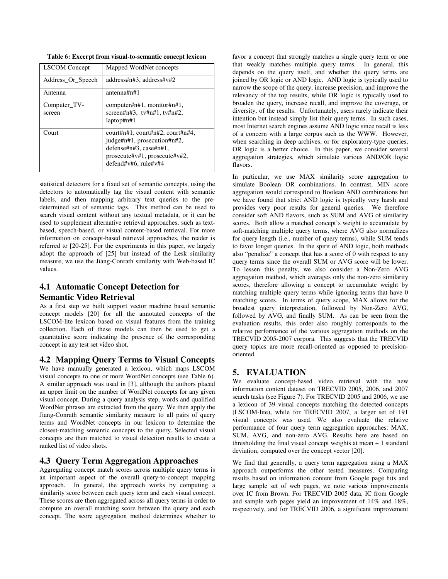**Table 6: Excerpt from visual-to-semantic concept lexicon** 

| <b>LSCOM</b> Concept   | Mapped WordNet concepts                                                                                                                                  |
|------------------------|----------------------------------------------------------------------------------------------------------------------------------------------------------|
| Address Or Speech      | address#n#3, address#v#2                                                                                                                                 |
| Antenna                | antenna#n#1                                                                                                                                              |
| Computer TV-<br>screen | computer#n#1, monitor#n#1,<br>screen#n#3, $tv#n#1$ , $tv#n#2$ ,<br>laptop#n#1                                                                            |
| Court                  | court#n#1, court#n#2, court#n#4,<br>judge#n#1, prosecution#n#2,<br>$defense#n#3$ , $case#n#1$ ,<br>prosecute#v#1, prosecute#v#2,<br>defend#v#6, rule#v#4 |

statistical detectors for a fixed set of semantic concepts, using the detectors to automatically tag the visual content with semantic labels, and then mapping arbitrary text queries to the predetermined set of semantic tags. This method can be used to search visual content without any textual metadata, or it can be used to supplement alternative retrieval approaches, such as textbased, speech-based, or visual content-based retrieval. For more information on concept-based retrieval approaches, the reader is referred to [20-25]. For the experiments in this paper, we largely adopt the approach of [25] but instead of the Lesk similarity measure, we use the Jiang-Conrath similarity with Web-based IC values.

# **4.1 Automatic Concept Detection for**

# **Semantic Video Retrieval**

As a first step we built support vector machine based semantic concept models [20] for all the annotated concepts of the LSCOM-lite lexicon based on visual features from the training collection. Each of these models can then be used to get a quantitative score indicating the presence of the corresponding concept in any test set video shot.

# **4.2 Mapping Query Terms to Visual Concepts**

We have manually generated a lexicon, which maps LSCOM visual concepts to one or more WordNet concepts (see Table 6). A similar approach was used in [3], although the authors placed an upper limit on the number of WordNet concepts for any given visual concept. During a query analysis step, words and qualified WordNet phrases are extracted from the query. We then apply the Jiang-Conrath semantic similarity measure to all pairs of query terms and WordNet concepts in our lexicon to determine the closest-matching semantic concepts to the query. Selected visual concepts are then matched to visual detection results to create a ranked list of video shots.

# **4.3 Query Term Aggregation Approaches**

Aggregating concept match scores across multiple query terms is an important aspect of the overall query-to-concept mapping approach. In general, the approach works by computing a similarity score between each query term and each visual concept. These scores are then aggregated across all query terms in order to compute an overall matching score between the query and each concept. The score aggregation method determines whether to

favor a concept that strongly matches a single query term or one that weakly matches multiple query terms. In general, this depends on the query itself, and whether the query terms are joined by OR logic or AND logic. AND logic is typically used to narrow the scope of the query, increase precision, and improve the relevancy of the top results, while OR logic is typically used to broaden the query, increase recall, and improve the coverage, or diversity, of the results. Unfortunately, users rarely indicate their intention but instead simply list their query terms. In such cases, most Internet search engines assume AND logic since recall is less of a concern with a large corpus such as the WWW. However, when searching in deep archives, or for exploratory-type queries, OR logic is a better choice. In this paper, we consider several aggregation strategies, which simulate various AND/OR logic flavors.

In particular, we use MAX similarity score aggregation to simulate Boolean OR combinations. In contrast, MIN score aggregation would correspond to Boolean AND combinations but we have found that strict AND logic is typically very harsh and provides very poor results for general queries. We therefore consider soft AND flavors, such as SUM and AVG of similarity scores. Both allow a matched concept's weight to accumulate by soft-matching multiple query terms, where AVG also normalizes for query length (i.e., number of query terms), while SUM tends to favor longer queries. In the spirit of AND logic, both methods also "penalize" a concept that has a score of 0 with respect to any query terms since the overall SUM or AVG score will be lower. To lessen this penalty, we also consider a Non-Zero AVG aggregation method, which averages only the non-zero similarity scores, therefore allowing a concept to accumulate weight by matching multiple query terms while ignoring terms that have 0 matching scores. In terms of query scope, MAX allows for the broadest query interpretation, followed by Non-Zero AVG, followed by AVG, and finally SUM. As can be seen from the evaluation results, this order also roughly corresponds to the relative performance of the various aggregation methods on the TRECVID 2005-2007 corpora. This suggests that the TRECVID query topics are more recall-oriented as opposed to precisionoriented.

# **5. EVALUATION**

We evaluate concept-based video retrieval with the new information content dataset on TRECVID 2005, 2006, and 2007 search tasks (see Figure 7). For TRECVID 2005 and 2006, we use a lexicon of 39 visual concepts matching the detected concepts (LSCOM-lite), while for TRECVID 2007, a larger set of 191 visual concepts was used. We also evaluate the relative performance of four query term aggregation approaches: MAX, SUM, AVG, and non-zero AVG. Results here are based on thresholding the final visual concept weights at mean + 1 standard deviation, computed over the concept vector [20].

We find that generally, a query term aggregation using a MAX approach outperforms the other tested measures. Comparing results based on information content from Google page hits and large sample set of web pages, we note various improvements over IC from Brown. For TRECVID 2005 data, IC from Google and sample web pages yield an improvement of 14% and 18%, respectively, and for TRECVID 2006, a significant improvement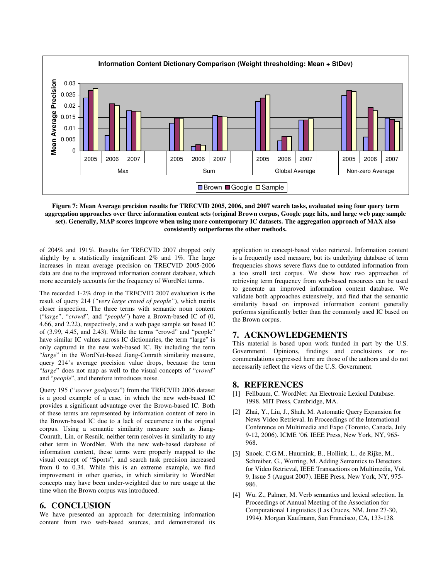

**Figure 7: Mean Average precision results for TRECVID 2005, 2006, and 2007 search tasks, evaluated using four query term aggregation approaches over three information content sets (original Brown corpus, Google page hits, and large web page sample set). Generally, MAP scores improve when using more contemporary IC datasets. The aggregation approach of MAX also consistently outperforms the other methods.** 

of 204% and 191%. Results for TRECVID 2007 dropped only slightly by a statistically insignificant 2% and 1%. The large increases in mean average precision on TRECVID 2005-2006 data are due to the improved information content database, which more accurately accounts for the frequency of WordNet terms.

The recorded 1-2% drop in the TRECVID 2007 evaluation is the result of query 214 (*"very large crowd of people"*), which merits closer inspection. The three terms with semantic noun content ("*large*", "*crowd*", and "*people*") have a Brown-based IC of (0, 4.66, and 2.22), respectively, and a web page sample set based IC of (3.99, 4.45, and 2.43). While the terms "crowd" and "people" have similar IC values across IC dictionaries, the term "large" is only captured in the new web-based IC. By including the term "*large*" in the WordNet-based Jiang-Conrath similarity measure, query 214's average precision value drops, because the term "*large*" does not map as well to the visual concepts of "*crowd*" and "*people*", and therefore introduces noise.

Query 195 ("*soccer goalposts*") from the TRECVID 2006 dataset is a good example of a case, in which the new web-based IC provides a significant advantage over the Brown-based IC. Both of these terms are represented by information content of zero in the Brown-based IC due to a lack of occurrence in the original corpus. Using a semantic similarity measure such as Jiang-Conrath, Lin, or Resnik, neither term resolves in similarity to any other term in WordNet. With the new web-based database of information content, these terms were properly mapped to the visual concept of "Sports", and search task precision increased from 0 to 0.34. While this is an extreme example, we find improvement in other queries, in which similarity to WordNet concepts may have been under-weighted due to rare usage at the time when the Brown corpus was introduced.

### **6. CONCLUSION**

We have presented an approach for determining information content from two web-based sources, and demonstrated its

application to concept-based video retrieval. Information content is a frequently used measure, but its underlying database of term frequencies shows severe flaws due to outdated information from a too small text corpus. We show how two approaches of retrieving term frequency from web-based resources can be used to generate an improved information content database. We validate both approaches extensively, and find that the semantic similarity based on improved information content generally performs significantly better than the commonly used IC based on the Brown corpus.

### **7. ACKNOWLEDGEMENTS**

This material is based upon work funded in part by the U.S. Government. Opinions, findings and conclusions or recommendations expressed here are those of the authors and do not necessarily reflect the views of the U.S. Government.

# **8. REFERENCES**

- [1] Fellbaum, C. WordNet: An Electronic Lexical Database. 1998. MIT Press, Cambridge, MA.
- [2] Zhai, Y., Liu, J., Shah, M. Automatic Query Expansion for News Video Retrieval. In Proceedings of the International Conference on Multimedia and Expo (Toronto, Canada, July 9-12, 2006). ICME '06. IEEE Press, New York, NY, 965- 968.
- [3] Snoek, C.G.M., Huurnink, B., Hollink, L., de Rijke, M., Schreiber, G., Worring, M. Adding Semantics to Detectors for Video Retrieval, IEEE Transactions on Multimedia, Vol. 9, Issue 5 (August 2007). IEEE Press, New York, NY, 975- 986.
- [4] Wu. Z., Palmer, M. Verb semantics and lexical selection. In Proceedings of Annual Meeting of the Association for Computational Linguistics (Las Cruces, NM, June 27-30, 1994). Morgan Kaufmann, San Francisco, CA, 133-138.